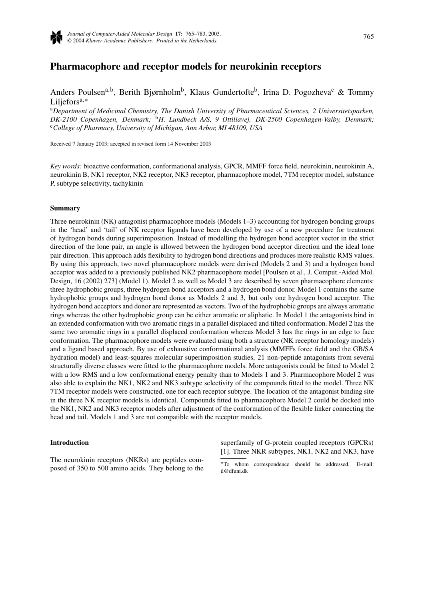

# **Pharmacophore and receptor models for neurokinin receptors**

Anders Poulsen<sup>a,b</sup>, Berith Bjørnholm<sup>b</sup>, Klaus Gundertofte<sup>b</sup>, Irina D. Pogozheva<sup>c</sup> & Tommy Liljeforsa*,*<sup>∗</sup>

<sup>a</sup>*Department of Medicinal Chemistry, The Danish University of Pharmaceutical Sciences, 2 Universitetsparken, DK-2100 Copenhagen, Denmark;* <sup>b</sup>*H. Lundbeck A/S, 9 Ottiliavej, DK-2500 Copenhagen-Valby, Denmark;* <sup>c</sup>*College of Pharmacy, University of Michigan, Ann Arbor, MI 48109, USA*

Received 7 January 2003; accepted in revised form 14 November 2003

*Key words:* bioactive conformation, conformational analysis, GPCR, MMFF force field, neurokinin, neurokinin A, neurokinin B, NK1 receptor, NK2 receptor, NK3 receptor, pharmacophore model, 7TM receptor model, substance P, subtype selectivity, tachykinin

#### **Summary**

Three neurokinin (NK) antagonist pharmacophore models (Models 1–3) accounting for hydrogen bonding groups in the 'head' and 'tail' of NK receptor ligands have been developed by use of a new procedure for treatment of hydrogen bonds during superimposition. Instead of modelling the hydrogen bond acceptor vector in the strict direction of the lone pair, an angle is allowed between the hydrogen bond acceptor direction and the ideal lone pair direction. This approach adds flexibility to hydrogen bond directions and produces more realistic RMS values. By using this approach, two novel pharmacophore models were derived (Models 2 and 3) and a hydrogen bond acceptor was added to a previously published NK2 pharmacophore model [Poulsen et al., J. Comput.-Aided Mol. Design, 16 (2002) 273] (Model 1). Model 2 as well as Model 3 are described by seven pharmacophore elements: three hydrophobic groups, three hydrogen bond acceptors and a hydrogen bond donor. Model 1 contains the same hydrophobic groups and hydrogen bond donor as Models 2 and 3, but only one hydrogen bond acceptor. The hydrogen bond acceptors and donor are represented as vectors. Two of the hydrophobic groups are always aromatic rings whereas the other hydrophobic group can be either aromatic or aliphatic. In Model 1 the antagonists bind in an extended conformation with two aromatic rings in a parallel displaced and tilted conformation. Model 2 has the same two aromatic rings in a parallel displaced conformation whereas Model 3 has the rings in an edge to face conformation. The pharmacophore models were evaluated using both a structure (NK receptor homology models) and a ligand based approach. By use of exhaustive conformational analysis (MMFFs force field and the GB/SA hydration model) and least-squares molecular superimposition studies, 21 non-peptide antagonists from several structurally diverse classes were fitted to the pharmacophore models. More antagonists could be fitted to Model 2 with a low RMS and a low conformational energy penalty than to Models 1 and 3. Pharmacophore Model 2 was also able to explain the NK1, NK2 and NK3 subtype selectivity of the compounds fitted to the model. Three NK 7TM receptor models were constructed, one for each receptor subtype. The location of the antagonist binding site in the three NK receptor models is identical. Compounds fitted to pharmacophore Model 2 could be docked into the NK1, NK2 and NK3 receptor models after adjustment of the conformation of the flexible linker connecting the head and tail. Models 1 and 3 are not compatible with the receptor models.

## **Introduction**

The neurokinin receptors (NKRs) are peptides composed of 350 to 500 amino acids. They belong to the superfamily of G-protein coupled receptors (GPCRs) [1]. Three NKR subtypes, NK1, NK2 and NK3, have

<sup>∗</sup>To whom correspondence should be addressed. E-mail: tl@dfuni.dk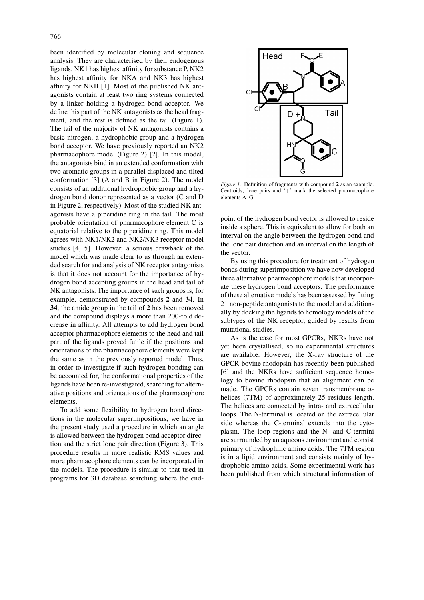been identified by molecular cloning and sequence analysis. They are characterised by their endogenous ligands. NK1 has highest affinity for substance P, NK2 has highest affinity for NKA and NK3 has highest affinity for NKB [1]. Most of the published NK antagonists contain at least two ring systems connected by a linker holding a hydrogen bond acceptor. We define this part of the NK antagonists as the head fragment, and the rest is defined as the tail (Figure 1). The tail of the majority of NK antagonists contains a basic nitrogen, a hydrophobic group and a hydrogen bond acceptor. We have previously reported an NK2 pharmacophore model (Figure 2) [2]. In this model, the antagonists bind in an extended conformation with two aromatic groups in a parallel displaced and tilted conformation [3] (A and B in Figure 2). The model consists of an additional hydrophobic group and a hydrogen bond donor represented as a vector (C and D in Figure 2, respectively). Most of the studied NK antagonists have a piperidine ring in the tail. The most probable orientation of pharmacophore element C is equatorial relative to the piperidine ring. This model agrees with NK1/NK2 and NK2/NK3 receptor model studies [4, 5]. However, a serious drawback of the model which was made clear to us through an extended search for and analysis of NK receptor antagonists is that it does not account for the importance of hydrogen bond accepting groups in the head and tail of NK antagonists. The importance of such groups is, for example, demonstrated by compounds **2** and **34**. In **34**, the amide group in the tail of **2** has been removed and the compound displays a more than 200-fold decrease in affinity. All attempts to add hydrogen bond acceptor pharmacophore elements to the head and tail part of the ligands proved futile if the positions and orientations of the pharmacophore elements were kept the same as in the previously reported model. Thus, in order to investigate if such hydrogen bonding can be accounted for, the conformational properties of the ligands have been re-investigated, searching for alternative positions and orientations of the pharmacophore elements.

To add some flexibility to hydrogen bond directions in the molecular superimpositions, we have in the present study used a procedure in which an angle is allowed between the hydrogen bond acceptor direction and the strict lone pair direction (Figure 3). This procedure results in more realistic RMS values and more pharmacophore elements can be incorporated in the models. The procedure is similar to that used in programs for 3D database searching where the end-



*Figure 1.* Definition of fragments with compound **2** as an example. Centroids, lone pairs and '+' mark the selected pharmacophore elements A–G.

point of the hydrogen bond vector is allowed to reside inside a sphere. This is equivalent to allow for both an interval on the angle between the hydrogen bond and the lone pair direction and an interval on the length of the vector.

By using this procedure for treatment of hydrogen bonds during superimposition we have now developed three alternative pharmacophore models that incorporate these hydrogen bond acceptors. The performance of these alternative models has been assessed by fitting 21 non-peptide antagonists to the model and additionally by docking the ligands to homology models of the subtypes of the NK receptor, guided by results from mutational studies.

As is the case for most GPCRs, NKRs have not yet been crystallised, so no experimental structures are available. However, the X-ray structure of the GPCR bovine rhodopsin has recently been published [6] and the NKRs have sufficient sequence homology to bovine rhodopsin that an alignment can be made. The GPCRs contain seven transmembrane  $α$ helices (7TM) of approximately 25 residues length. The helices are connected by intra- and extracellular loops. The N-terminal is located on the extracellular side whereas the C-terminal extends into the cytoplasm. The loop regions and the N- and C-termini are surrounded by an aqueous environment and consist primary of hydrophilic amino acids. The 7TM region is in a lipid environment and consists mainly of hydrophobic amino acids. Some experimental work has been published from which structural information of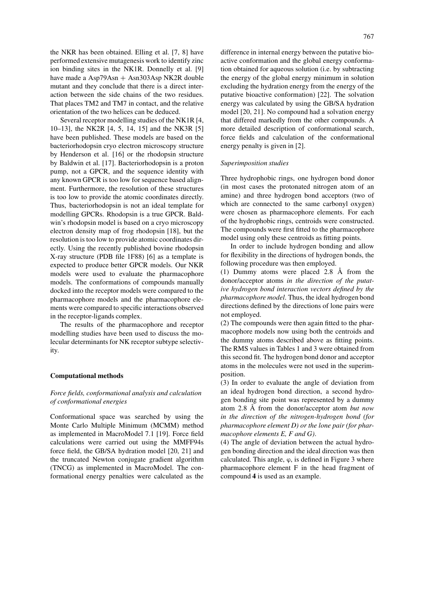the NKR has been obtained. Elling et al. [7, 8] have performed extensive mutagenesis work to identify zinc ion binding sites in the NK1R. Donnelly et al. [9] have made a  $Asp79Asn + Asn303Asp NK2R$  double mutant and they conclude that there is a direct interaction between the side chains of the two residues. That places TM2 and TM7 in contact, and the relative orientation of the two helices can be deduced.

Several receptor modelling studies of the NK1R [4, 10–13], the NK2R [4, 5, 14, 15] and the NK3R [5] have been published. These models are based on the bacteriorhodopsin cryo electron microscopy structure by Henderson et al. [16] or the rhodopsin structure by Baldwin et al. [17]. Bacteriorhodopsin is a proton pump, not a GPCR, and the sequence identity with any known GPCR is too low for sequence based alignment. Furthermore, the resolution of these structures is too low to provide the atomic coordinates directly. Thus, bacteriorhodopsin is not an ideal template for modelling GPCRs. Rhodopsin is a true GPCR. Baldwin's rhodopsin model is based on a cryo microscopy electron density map of frog rhodopsin [18], but the resolution is too low to provide atomic coordinates directly. Using the recently published bovine rhodopsin X-ray structure (PDB file 1F88) [6] as a template is expected to produce better GPCR models. Our NKR models were used to evaluate the pharmacophore models. The conformations of compounds manually docked into the receptor models were compared to the pharmacophore models and the pharmacophore elements were compared to specific interactions observed in the receptor-ligands complex.

The results of the pharmacophore and receptor modelling studies have been used to discuss the molecular determinants for NK receptor subtype selectivity.

#### **Computational methods**

# *Force fields, conformational analysis and calculation of conformational energies*

Conformational space was searched by using the Monte Carlo Multiple Minimum (MCMM) method as implemented in MacroModel 7.1 [19]. Force field calculations were carried out using the MMFF94s force field, the GB/SA hydration model [20, 21] and the truncated Newton conjugate gradient algorithm (TNCG) as implemented in MacroModel. The conformational energy penalties were calculated as the

difference in internal energy between the putative bioactive conformation and the global energy conformation obtained for aqueous solution (i.e. by subtracting the energy of the global energy minimum in solution excluding the hydration energy from the energy of the putative bioactive conformation) [22]. The solvation energy was calculated by using the GB/SA hydration model [20, 21]. No compound had a solvation energy that differed markedly from the other compounds. A more detailed description of conformational search, force fields and calculation of the conformational energy penalty is given in [2].

#### *Superimposition studies*

Three hydrophobic rings, one hydrogen bond donor (in most cases the protonated nitrogen atom of an amine) and three hydrogen bond acceptors (two of which are connected to the same carbonyl oxygen) were chosen as pharmacophore elements. For each of the hydrophobic rings, centroids were constructed. The compounds were first fitted to the pharmacophore model using only these centroids as fitting points.

In order to include hydrogen bonding and allow for flexibility in the directions of hydrogen bonds, the following procedure was then employed.

(1) Dummy atoms were placed 2.8 Å from the donor/acceptor atoms *in the direction of the putative hydrogen bond interaction vectors defined by the pharmacophore model*. Thus, the ideal hydrogen bond directions defined by the directions of lone pairs were not employed.

(2) The compounds were then again fitted to the pharmacophore models now using both the centroids and the dummy atoms described above as fitting points. The RMS values in Tables 1 and 3 were obtained from this second fit. The hydrogen bond donor and acceptor atoms in the molecules were not used in the superimposition.

(3) In order to evaluate the angle of deviation from an ideal hydrogen bond direction, a second hydrogen bonding site point was represented by a dummy atom 2.8 Å from the donor/acceptor atom *but now in the direction of the nitrogen-hydrogen bond (for pharmacophore element D) or the lone pair (for pharmacophore elements E, F and G)*.

(4) The angle of deviation between the actual hydrogen bonding direction and the ideal direction was then calculated. This angle,  $\varphi$ , is defined in Figure 3 where pharmacophore element F in the head fragment of compound **4** is used as an example.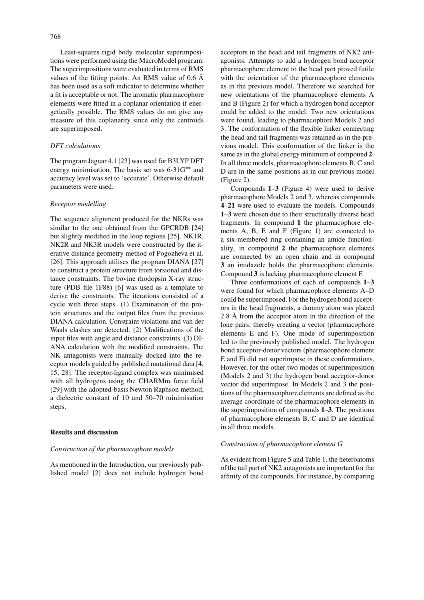Least-squares rigid body molecular superimpositions were performed using the MacroModel program. The superimpositions were evaluated in terms of RMS values of the fitting points. An RMS value of 0.6 Å has been used as a soft indicator to determine whether a fit is acceptable or not. The aromatic pharmacophore elements were fitted in a coplanar orientation if energetically possible. The RMS values do not give any measure of this coplanarity since only the centroids are superimposed.

## *DFT calculations*

The program Jaguar 4.1 [23] was used for B3LYP DFT energy minimisation. The basis set was 6-31G∗∗ and accuracy level was set to 'accurate'. Otherwise default parameters were used.

## *Receptor modelling*

The sequence alignment produced for the NKRs was similar to the one obtained from the GPCRDB [24] but slightly modified in the loop regions [25]. NK1R, NK2R and NK3R models were constructed by the iterative distance geometry method of Pogozheva et al. [26]. This approach utilises the program DIANA [27] to construct a protein structure from torsional and distance constraints. The bovine rhodopsin X-ray structure (PDB file 1F88) [6] was used as a template to derive the constraints. The iterations consisted of a cycle with three steps. (1) Examination of the protein structures and the output files from the previous DIANA calculation. Constraint violations and van der Waals clashes are detected. (2) Modifications of the input files with angle and distance constraints. (3) DI-ANA calculation with the modified constraints. The NK antagonists were manually docked into the receptor models guided by published mutational data [4, 15, 28]. The receptor-ligand complex was minimised with all hydrogens using the CHARMm force field [29] with the adopted-basis Newton Raphson method, a dielectric constant of 10 and 50–70 minimisation steps.

# **Results and discussion**

## *Construction of the pharmacophore models*

As mentioned in the Introduction, our previously published model [2] does not include hydrogen bond acceptors in the head and tail fragments of NK2 antagonists. Attempts to add a hydrogen bond acceptor pharmacophore element to the head part proved futile with the orientation of the pharmacophore elements as in the previous model. Therefore we searched for new orientations of the pharmacophore elements A and B (Figure 2) for which a hydrogen bond acceptor could be added to the model. Two new orientations were found, leading to pharmacophore Models 2 and 3. The conformation of the flexible linker connecting the head and tail fragments was retained as in the previous model. This conformation of the linker is the same as in the global energy minimum of compound **2**. In all three models, pharmacophore elements B, C and D are in the same positions as in our previous model (Figure 2).

Compounds **1**–**3** (Figure 4) were used to derive pharmacophore Models 2 and 3, whereas compounds **4**–**21** were used to evaluate the models. Compounds **1**–**3** were chosen due to their structurally diverse head fragments. In compound **1** the pharmacophore elements A, B, E and F (Figure 1) are connected to a six-membered ring containing an amide functionality, in compound **2** the pharmacophore elements are connected by an open chain and in compound **3** an imidazole holds the pharmacophore elements. Compound **3** is lacking pharmacophore element F.

Three conformations of each of compounds **1**–**3** were found for which pharmacophore elements A–D could be superimposed. For the hydrogen bond acceptors in the head fragments, a dummy atom was placed 2.8 Å from the acceptor atom in the direction of the lone pairs, thereby creating a vector (pharmacophore elements E and F). One mode of superimposition led to the previously published model. The hydrogen bond acceptor-donor vectors (pharmacophore element E and F) did not superimpose in these conformations. However, for the other two modes of superimposition (Models 2 and 3) the hydrogen bond acceptor-donor vector did superimpose. In Models 2 and 3 the positions of the pharmacophore elements are defined as the average coordinate of the pharmacophore elements in the superimposition of compounds **1**–**3**. The positions of pharmacophore elements B, C and D are identical in all three models.

#### *Construction of pharmacophore element G*

As evident from Figure 5 and Table 1, the heteroatoms of the tail part of NK2 antagonists are important for the affinity of the compounds. For instance, by comparing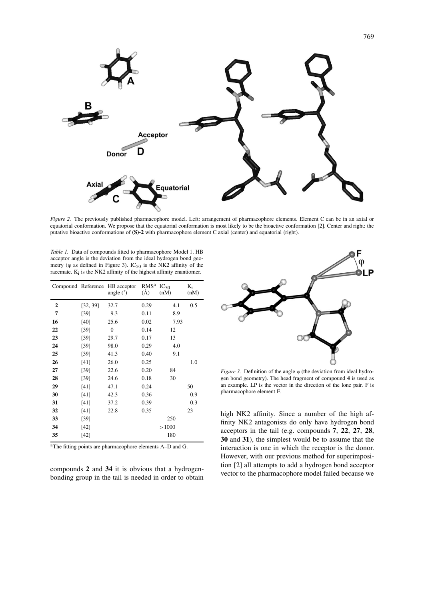

*Figure 2.* The previously published pharmacophore model. Left: arrangement of pharmacophore elements. Element C can be in an axial or equatorial conformation. We propose that the equatorial conformation is most likely to be the bioactive conformation [2]. Center and right: the putative bioactive conformations of **(S)-2** with pharmacophore element C axial (center) and equatorial (right).

*Table 1.* Data of compounds fitted to pharmacophore Model 1. HB acceptor angle is the deviation from the ideal hydrogen bond geometry ( $\varphi$  as defined in Figure 3). IC<sub>50</sub> is the NK2 affinity of the racemate.  $K_i$  is the NK2 affinity of the highest affinity enantiomer.

|                |          | Compound Reference HB acceptor<br>angle $(°)$ | <b>RMS</b> <sup>a</sup><br>$\rm(\AA)$ | $IC_{50}$<br>(nM) | $K_i$<br>(nM) |
|----------------|----------|-----------------------------------------------|---------------------------------------|-------------------|---------------|
| $\overline{2}$ | [32, 39] | 32.7                                          | 0.29                                  | 4.1               | 0.5           |
| 7              | [39]     | 9.3                                           | 0.11                                  | 8.9               |               |
| 16             | [40]     | 25.6                                          | 0.02                                  | 7.93              |               |
| 22             | [39]     | $\mathbf{0}$                                  | 0.14                                  | 12                |               |
| 23             | [39]     | 29.7                                          | 0.17                                  | 13                |               |
| 24             | [39]     | 98.0                                          | 0.29                                  | 4.0               |               |
| 25             | [39]     | 41.3                                          | 0.40                                  | 9.1               |               |
| 26             | [41]     | 26.0                                          | 0.25                                  |                   | 1.0           |
| 27             | $[39]$   | 22.6                                          | 0.20                                  | 84                |               |
| 28             | [39]     | 24.6                                          | 0.18                                  | 30                |               |
| 29             | [41]     | 47.1                                          | 0.24                                  |                   | 50            |
| 30             | [41]     | 42.3                                          | 0.36                                  |                   | 0.9           |
| 31             | [41]     | 37.2                                          | 0.39                                  |                   | 0.3           |
| 32             | [41]     | 22.8                                          | 0.35                                  |                   | 23            |
| 33             | [39]     |                                               |                                       | 250               |               |
| 34             | [42]     |                                               |                                       | >1000             |               |
| 35             | [42]     |                                               |                                       | 180               |               |

aThe fitting points are pharmacophore elements A–D and G.

compounds **2** and **34** it is obvious that a hydrogenbonding group in the tail is needed in order to obtain



*Figure 3.* Definition of the angle  $\varphi$  (the deviation from ideal hydrogen bond geometry). The head fragment of compound **4** is used as an example. LP is the vector in the direction of the lone pair. F is pharmacophore element F.

high NK2 affinity. Since a number of the high affinity NK2 antagonists do only have hydrogen bond acceptors in the tail (e.g. compounds **7**, **22**, **27**, **28**, **30** and **31**), the simplest would be to assume that the interaction is one in which the receptor is the donor. However, with our previous method for superimposition [2] all attempts to add a hydrogen bond acceptor vector to the pharmacophore model failed because we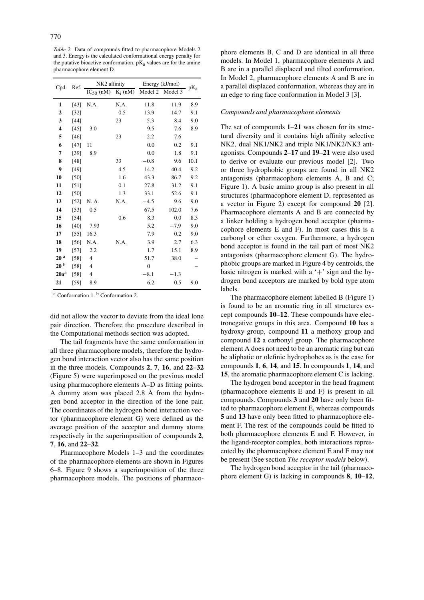*Table 2.* Data of compounds fitted to pharmacophore Models 2 and 3. Energy is the calculated conformational energy penalty for the putative bioactive conformation.  $pK_a$  values are for the amine pharmacophore element D.

| Cpd.            | Ref.   | NK2 affinity   |      | Energy (kJ/mol)            | $pK_a$ |      |
|-----------------|--------|----------------|------|----------------------------|--------|------|
|                 |        | $IC_{50}$ (nM) |      | $K_i$ (nM) Model 2 Model 3 |        |      |
| 1               | [43]   | N.A.           | N.A. | 11.8                       | 11.9   | 8.9  |
| $\mathbf{2}$    | $[32]$ |                | 0.5  | 13.9                       | 14.7   | 9.1  |
| 3               | $[44]$ |                | 23   | $-5.3$                     | 8.4    | 9.0  |
| 4               | [45]   | 3.0            |      | 9.5                        | 7.6    | 8.9  |
| 5               | [46]   |                | 23   | $-2.2$                     | 7.6    |      |
| 6               | [47]   | 11             |      | 0.0                        | 0.2    | 9.1  |
| 7               | [39]   | 8.9            |      | 0.0                        | 1.8    | 9.1  |
| 8               | [48]   |                | 33   | $-0.8$                     | 9.6    | 10.1 |
| 9               | [49]   |                | 4.5  | 14.2                       | 40.4   | 9.2  |
| 10              | [50]   |                | 1.6  | 43.3                       | 86.7   | 9.2  |
| 11              | [51]   |                | 0.1  | 27.8                       | 31.2   | 9.1  |
| 12              | [50]   |                | 1.3  | 33.1                       | 52.6   | 9.1  |
| 13              | [52]   | N. A.          | N.A. | $-4.5$                     | 9.6    | 9.0  |
| 14              | [53]   | 0.5            |      | 67.5                       | 102.0  | 7.6  |
| 15              | [54]   |                | 0.6  | 8.3                        | 0.0    | 8.3  |
| 16              | [40]   | 7.93           |      | 5.2                        | $-7.9$ | 9.0  |
| 17              | $[55]$ | 16.3           |      | 7.9                        | 0.2    | 9.0  |
| 18              | [56]   | N.A.           | N.A. | 3.9                        | 2.7    | 6.3  |
| 19              | $[57]$ | 2.2            |      | 1.7                        | 15.1   | 8.9  |
| 20 <sup>a</sup> | [58]   | $\overline{4}$ |      | 51.7                       | 38.0   |      |
| 20 <sup>b</sup> | $[58]$ | $\overline{4}$ |      | $\overline{0}$             |        |      |
| $20a^a$         | $[58]$ | $\overline{4}$ |      | $-8.1$                     | $-1.3$ |      |
| 21              | [59]   | 8.9            |      | 6.2                        | 0.5    | 9.0  |

<sup>a</sup> Conformation 1. <sup>b</sup> Conformation 2.

did not allow the vector to deviate from the ideal lone pair direction. Therefore the procedure described in the Computational methods section was adopted.

The tail fragments have the same conformation in all three pharmacophore models, therefore the hydrogen bond interaction vector also has the same position in the three models. Compounds **2**, **7**, **16**, and **22**–**32** (Figure 5) were superimposed on the previous model using pharmacophore elements A–D as fitting points. A dummy atom was placed 2.8 Å from the hydrogen bond acceptor in the direction of the lone pair. The coordinates of the hydrogen bond interaction vector (pharmacophore element G) were defined as the average position of the acceptor and dummy atoms respectively in the superimposition of compounds **2**, **7**, **16**, and **22**–**32**.

Pharmacophore Models 1–3 and the coordinates of the pharmacophore elements are shown in Figures 6–8. Figure 9 shows a superimposition of the three pharmacophore models. The positions of pharmacophore elements B, C and D are identical in all three models. In Model 1, pharmacophore elements A and B are in a parallel displaced and tilted conformation. In Model 2, pharmacophore elements A and B are in a parallel displaced conformation, whereas they are in an edge to ring face conformation in Model 3 [3].

#### *Compounds and pharmacophore elements*

The set of compounds **1**–**21** was chosen for its structural diversity and it contains high affinity selective NK2, dual NK1/NK2 and triple NK1/NK2/NK3 antagonists. Compounds **2**–**17** and **19**–**21** were also used to derive or evaluate our previous model [2]. Two or three hydrophobic groups are found in all NK2 antagonists (pharmacophore elements A, B and C; Figure 1). A basic amino group is also present in all structures (pharmacophore element D, represented as a vector in Figure 2) except for compound **20** [2]. Pharmacophore elements A and B are connected by a linker holding a hydrogen bond acceptor (pharmacophore elements E and F). In most cases this is a carbonyl or ether oxygen. Furthermore, a hydrogen bond acceptor is found in the tail part of most NK2 antagonists (pharmacophore element G). The hydrophobic groups are marked in Figure 4 by centroids, the basic nitrogen is marked with a  $+$  sign and the hydrogen bond acceptors are marked by bold type atom labels.

The pharmacophore element labelled B (Figure 1) is found to be an aromatic ring in all structures except compounds **10**–**12**. These compounds have electronegative groups in this area. Compound **10** has a hydroxy group, compound **11** a methoxy group and compound **12** a carbonyl group. The pharmacophore element A does not need to be an aromatic ring but can be aliphatic or olefinic hydrophobes as is the case for compounds **1**, **6**, **14**, and **15**. In compounds **1**, **14**, and **15**, the aromatic pharmacophore element C is lacking.

The hydrogen bond acceptor in the head fragment (pharmacophore elements E and F) is present in all compounds. Compounds **3** and **20** have only been fitted to pharmacophore element E, whereas compounds **5** and **13** have only been fitted to pharmacophore element F. The rest of the compounds could be fitted to both pharmacophore elements E and F. However, in the ligand-receptor complex, both interactions represented by the pharmacophore element E and F may not be present (See section *The receptor models* below).

The hydrogen bond acceptor in the tail (pharmacophore element G) is lacking in compounds **8**, **10**–**12**,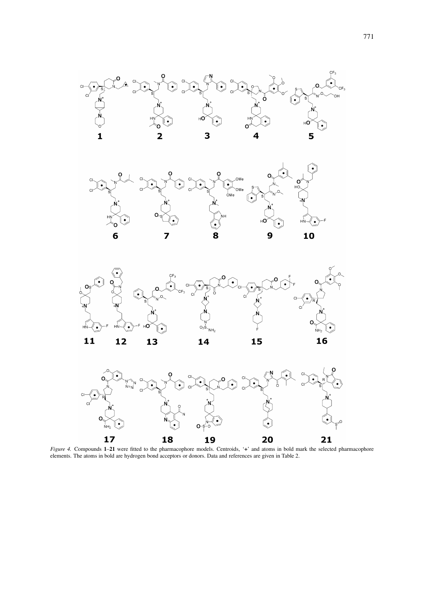







*Figure 4.* Compounds **1**–**21** were fitted to the pharmacophore models. Centroids, '**+**' and atoms in bold mark the selected pharmacophore elements. The atoms in bold are hydrogen bond acceptors or donors. Data and references are given in Table 2.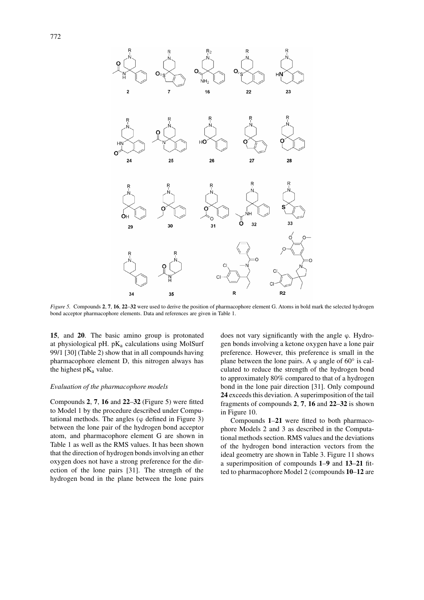

*Figure 5.* Compounds **2**, **7**, **16**, **22**–**32** were used to derive the position of pharmacophore element G. Atoms in bold mark the selected hydrogen bond acceptor pharmacophore elements. Data and references are given in Table 1.

**15**, and **20**. The basic amino group is protonated at physiological pH.  $pK_a$  calculations using MolSurf 99/1 [30] (Table 2) show that in all compounds having pharmacophore element D, this nitrogen always has the highest  $pK_a$  value.

# *Evaluation of the pharmacophore models*

Compounds **2**, **7**, **16** and **22**–**32** (Figure 5) were fitted to Model 1 by the procedure described under Computational methods. The angles  $(\varphi$  defined in Figure 3) between the lone pair of the hydrogen bond acceptor atom, and pharmacophore element G are shown in Table 1 as well as the RMS values. It has been shown that the direction of hydrogen bonds involving an ether oxygen does not have a strong preference for the direction of the lone pairs [31]. The strength of the hydrogen bond in the plane between the lone pairs

does not vary significantly with the angle  $\varphi$ . Hydrogen bonds involving a ketone oxygen have a lone pair preference. However, this preference is small in the plane between the lone pairs. A  $\varphi$  angle of 60 $\degree$  is calculated to reduce the strength of the hydrogen bond to approximately 80% compared to that of a hydrogen bond in the lone pair direction [31]. Only compound **24** exceeds this deviation. A superimposition of the tail fragments of compounds **2**, **7**, **16** and **22**–**32** is shown in Figure 10.

Compounds **1**–**21** were fitted to both pharmacophore Models 2 and 3 as described in the Computational methods section. RMS values and the deviations of the hydrogen bond interaction vectors from the ideal geometry are shown in Table 3. Figure 11 shows a superimposition of compounds **1**–**9** and **13**–**21** fitted to pharmacophore Model 2 (compounds **10**–**12** are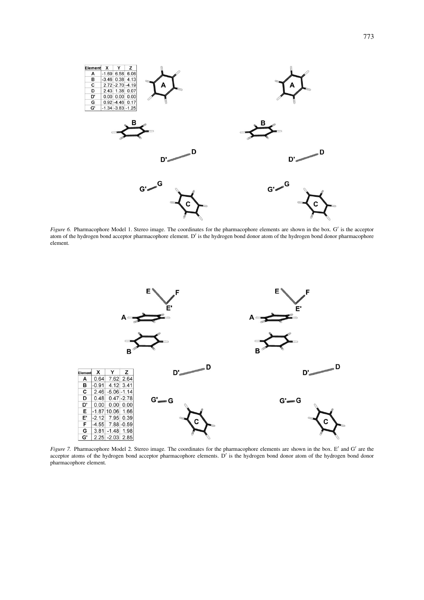

*Figure 6.* Pharmacophore Model 1. Stereo image. The coordinates for the pharmacophore elements are shown in the box. G' is the acceptor atom of the hydrogen bond acceptor pharmacophore element. D' is the hydrogen bond donor atom of the hydrogen bond donor pharmacophore element.



*Figure 7.* Pharmacophore Model 2. Stereo image. The coordinates for the pharmacophore elements are shown in the box. E' and G' are the acceptor atoms of the hydrogen bond acceptor pharmacophore elements.  $\dot{D}'$  is the hydrogen bond donor atom of the hydrogen bond donor pharmacophore element.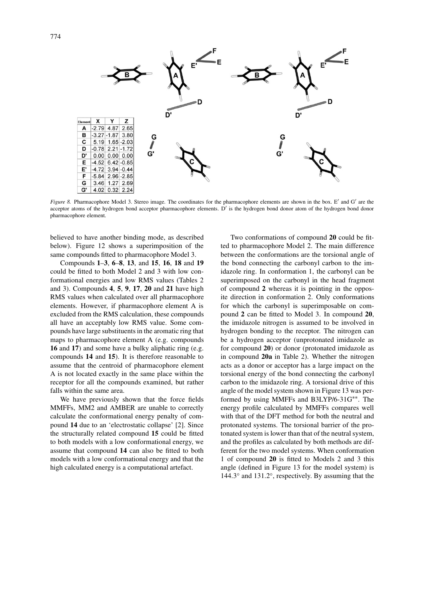

*Figure 8.* Pharmacophore Model 3. Stereo image. The coordinates for the pharmacophore elements are shown in the box. E' and G' are the acceptor atoms of the hydrogen bond acceptor pharmacophore elements. D' is the hydrogen bond donor atom of the hydrogen bond donor pharmacophore element.

believed to have another binding mode, as described below). Figure 12 shows a superimposition of the same compounds fitted to pharmacophore Model 3.

Compounds **1**–**3**, **6**–**8**, **13**, and **15**, **16**, **18** and **19** could be fitted to both Model 2 and 3 with low conformational energies and low RMS values (Tables 2 and 3). Compounds **4**, **5**, **9**, **17**, **20** and **21** have high RMS values when calculated over all pharmacophore elements. However, if pharmacophore element A is excluded from the RMS calculation, these compounds all have an acceptably low RMS value. Some compounds have large substituents in the aromatic ring that maps to pharmacophore element A (e.g. compounds **16** and **17**) and some have a bulky aliphatic ring (e.g. compounds **14** and **15**). It is therefore reasonable to assume that the centroid of pharmacophore element A is not located exactly in the same place within the receptor for all the compounds examined, but rather falls within the same area.

We have previously shown that the force fields MMFFs, MM2 and AMBER are unable to correctly calculate the conformational energy penalty of compound **14** due to an 'electrostatic collapse' [2]. Since the structurally related compound **15** could be fitted to both models with a low conformational energy, we assume that compound **14** can also be fitted to both models with a low conformational energy and that the high calculated energy is a computational artefact.

Two conformations of compound **20** could be fitted to pharmacophore Model 2. The main difference between the conformations are the torsional angle of the bond connecting the carbonyl carbon to the imidazole ring. In conformation 1, the carbonyl can be superimposed on the carbonyl in the head fragment of compound **2** whereas it is pointing in the opposite direction in conformation 2. Only conformations for which the carbonyl is superimposable on compound **2** can be fitted to Model 3. In compound **20**, the imidazole nitrogen is assumed to be involved in hydrogen bonding to the receptor. The nitrogen can be a hydrogen acceptor (unprotonated imidazole as for compound **20**) or donor (protonated imidazole as in compound **20a** in Table 2). Whether the nitrogen acts as a donor or acceptor has a large impact on the torsional energy of the bond connecting the carbonyl carbon to the imidazole ring. A torsional drive of this angle of the model system shown in Figure 13 was performed by using MMFFs and B3LYP/6-31G∗∗. The energy profile calculated by MMFFs compares well with that of the DFT method for both the neutral and protonated systems. The torsional barrier of the protonated system is lower than that of the neutral system, and the profiles as calculated by both methods are different for the two model systems. When conformation 1 of compound **20** is fitted to Models 2 and 3 this angle (defined in Figure 13 for the model system) is 144.3◦ and 131.2◦, respectively. By assuming that the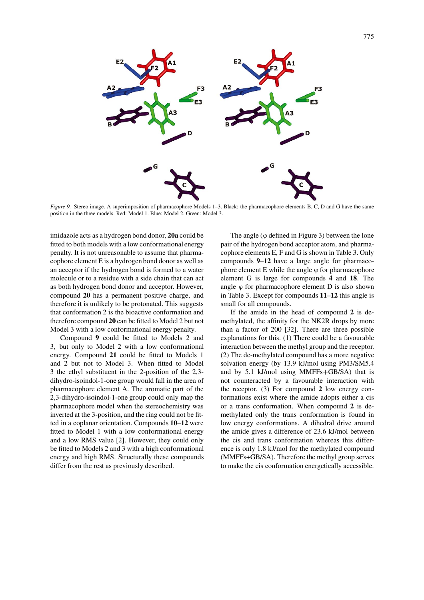

*Figure 9.* Stereo image. A superimposition of pharmacophore Models 1–3. Black: the pharmacophore elements B, C, D and G have the same position in the three models. Red: Model 1. Blue: Model 2. Green: Model 3.

imidazole acts as a hydrogen bond donor, **20a** could be fitted to both models with a low conformational energy penalty. It is not unreasonable to assume that pharmacophore element E is a hydrogen bond donor as well as an acceptor if the hydrogen bond is formed to a water molecule or to a residue with a side chain that can act as both hydrogen bond donor and acceptor. However, compound **20** has a permanent positive charge, and therefore it is unlikely to be protonated. This suggests that conformation 2 is the bioactive conformation and therefore compound **20** can be fitted to Model 2 but not Model 3 with a low conformational energy penalty.

Compound **9** could be fitted to Models 2 and 3, but only to Model 2 with a low conformational energy. Compound **21** could be fitted to Models 1 and 2 but not to Model 3. When fitted to Model 3 the ethyl substituent in the 2-position of the 2,3 dihydro-isoindol-1-one group would fall in the area of pharmacophore element A. The aromatic part of the 2,3-dihydro-isoindol-1-one group could only map the pharmacophore model when the stereochemistry was inverted at the 3-position, and the ring could not be fitted in a coplanar orientation. Compounds **10**–**12** were fitted to Model 1 with a low conformational energy and a low RMS value [2]. However, they could only be fitted to Models 2 and 3 with a high conformational energy and high RMS. Structurally these compounds differ from the rest as previously described.

The angle  $(\varphi$  defined in Figure 3) between the lone pair of the hydrogen bond acceptor atom, and pharmacophore elements E, F and G is shown in Table 3. Only compounds **9**–**12** have a large angle for pharmacophore element E while the angle ϕ for pharmacophore element G is large for compounds **4** and **18**. The angle  $\varphi$  for pharmacophore element D is also shown in Table 3. Except for compounds **11**–**12** this angle is small for all compounds.

If the amide in the head of compound **2** is demethylated, the affinity for the NK2R drops by more than a factor of 200 [32]. There are three possible explanations for this. (1) There could be a favourable interaction between the methyl group and the receptor. (2) The de-methylated compound has a more negative solvation energy (by 13.9 kJ/mol using PM3/SM5.4 and by 5.1 kJ/mol using MMFFs+GB/SA) that is not counteracted by a favourable interaction with the receptor. (3) For compound **2** low energy conformations exist where the amide adopts either a cis or a trans conformation. When compound **2** is demethylated only the trans conformation is found in low energy conformations. A dihedral drive around the amide gives a difference of 23.6 kJ/mol between the cis and trans conformation whereas this difference is only 1.8 kJ/mol for the methylated compound (MMFFs+GB/SA). Therefore the methyl group serves to make the cis conformation energetically accessible.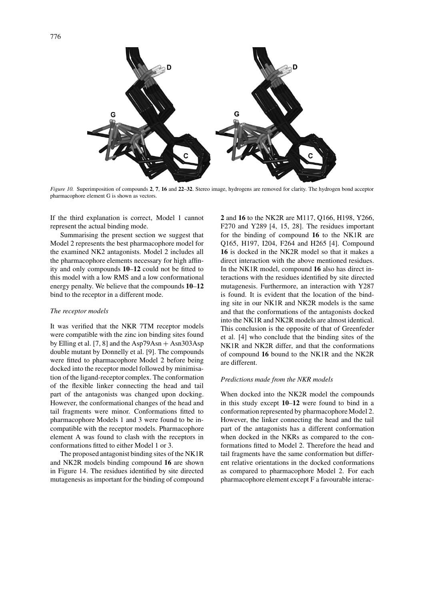

*Figure 10.* Superimposition of compounds **2**, **7**, **16** and **22**–**32**. Stereo image, hydrogens are removed for clarity. The hydrogen bond acceptor pharmacophore element G is shown as vectors.

If the third explanation is correct, Model 1 cannot represent the actual binding mode.

Summarising the present section we suggest that Model 2 represents the best pharmacophore model for the examined NK2 antagonists. Model 2 includes all the pharmacophore elements necessary for high affinity and only compounds **10**–**12** could not be fitted to this model with a low RMS and a low conformational energy penalty. We believe that the compounds **10**–**12** bind to the receptor in a different mode.

#### *The receptor models*

It was verified that the NKR 7TM receptor models were compatible with the zinc ion binding sites found by Elling et al.  $[7, 8]$  and the Asp79Asn + Asn303Asp double mutant by Donnelly et al. [9]. The compounds were fitted to pharmacophore Model 2 before being docked into the receptor model followed by minimisation of the ligand-receptor complex. The conformation of the flexible linker connecting the head and tail part of the antagonists was changed upon docking. However, the conformational changes of the head and tail fragments were minor. Conformations fitted to pharmacophore Models 1 and 3 were found to be incompatible with the receptor models. Pharmacophore element A was found to clash with the receptors in conformations fitted to either Model 1 or 3.

The proposed antagonist binding sites of the NK1R and NK2R models binding compound **16** are shown in Figure 14. The residues identified by site directed mutagenesis as important for the binding of compound **2** and **16** to the NK2R are M117, Q166, H198, Y266, F270 and Y289 [4, 15, 28]. The residues important for the binding of compound **16** to the NK1R are Q165, H197, I204, F264 and H265 [4]. Compound **16** is docked in the NK2R model so that it makes a direct interaction with the above mentioned residues. In the NK1R model, compound **16** also has direct interactions with the residues identified by site directed mutagenesis. Furthermore, an interaction with Y287 is found. It is evident that the location of the binding site in our NK1R and NK2R models is the same and that the conformations of the antagonists docked into the NK1R and NK2R models are almost identical. This conclusion is the opposite of that of Greenfeder et al. [4] who conclude that the binding sites of the NK1R and NK2R differ, and that the conformations of compound **16** bound to the NK1R and the NK2R are different.

## *Predictions made from the NKR models*

When docked into the NK2R model the compounds in this study except **10**–**12** were found to bind in a conformation represented by pharmacophore Model 2. However, the linker connecting the head and the tail part of the antagonists has a different conformation when docked in the NKRs as compared to the conformations fitted to Model 2. Therefore the head and tail fragments have the same conformation but different relative orientations in the docked conformations as compared to pharmacophore Model 2. For each pharmacophore element except F a favourable interac-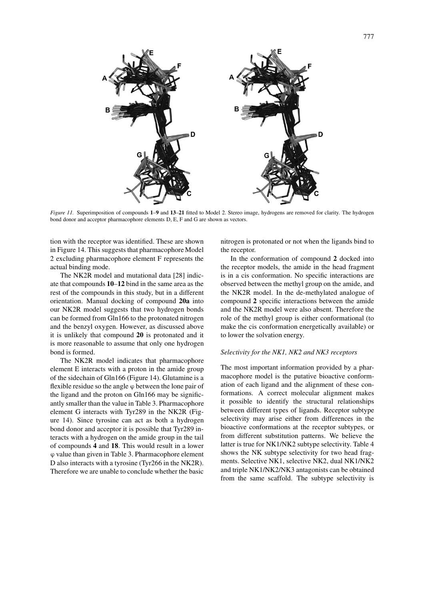

*Figure 11.* Superimposition of compounds **1**–**9** and **13**–**21** fitted to Model 2. Stereo image, hydrogens are removed for clarity. The hydrogen bond donor and acceptor pharmacophore elements D, E, F and G are shown as vectors.

tion with the receptor was identified. These are shown in Figure 14. This suggests that pharmacophore Model 2 excluding pharmacophore element F represents the actual binding mode.

The NK2R model and mutational data [28] indicate that compounds **10**–**12** bind in the same area as the rest of the compounds in this study, but in a different orientation. Manual docking of compound **20a** into our NK2R model suggests that two hydrogen bonds can be formed from Gln166 to the protonated nitrogen and the benzyl oxygen. However, as discussed above it is unlikely that compound **20** is protonated and it is more reasonable to assume that only one hydrogen bond is formed.

The NK2R model indicates that pharmacophore element E interacts with a proton in the amide group of the sidechain of Gln166 (Figure 14). Glutamine is a flexible residue so the angle  $\varphi$  between the lone pair of the ligand and the proton on Gln166 may be significantly smaller than the value in Table 3. Pharmacophore element G interacts with Tyr289 in the NK2R (Figure 14). Since tyrosine can act as both a hydrogen bond donor and acceptor it is possible that Tyr289 interacts with a hydrogen on the amide group in the tail of compounds **4** and **18**. This would result in a lower ϕ value than given in Table 3. Pharmacophore element D also interacts with a tyrosine (Tyr266 in the NK2R). Therefore we are unable to conclude whether the basic

nitrogen is protonated or not when the ligands bind to the receptor.

In the conformation of compound **2** docked into the receptor models, the amide in the head fragment is in a cis conformation. No specific interactions are observed between the methyl group on the amide, and the NK2R model. In the de-methylated analogue of compound **2** specific interactions between the amide and the NK2R model were also absent. Therefore the role of the methyl group is either conformational (to make the cis conformation energetically available) or to lower the solvation energy.

# *Selectivity for the NK1, NK2 and NK3 receptors*

The most important information provided by a pharmacophore model is the putative bioactive conformation of each ligand and the alignment of these conformations. A correct molecular alignment makes it possible to identify the structural relationships between different types of ligands. Receptor subtype selectivity may arise either from differences in the bioactive conformations at the receptor subtypes, or from different substitution patterns. We believe the latter is true for NK1/NK2 subtype selectivity. Table 4 shows the NK subtype selectivity for two head fragments. Selective NK1, selective NK2, dual NK1/NK2 and triple NK1/NK2/NK3 antagonists can be obtained from the same scaffold. The subtype selectivity is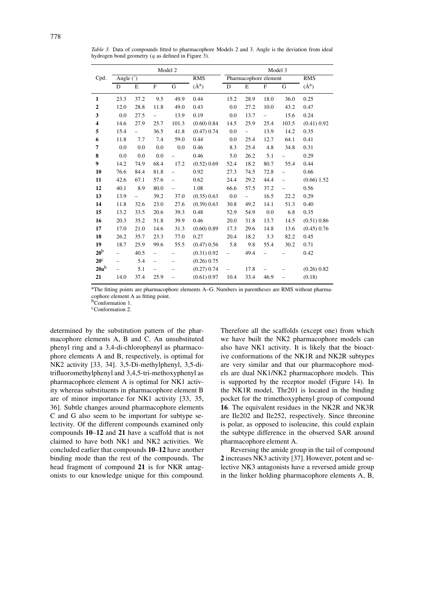|                                      | Model 2                  |                          |                          |       |               | Model 3                  |                          |             |                          |               |
|--------------------------------------|--------------------------|--------------------------|--------------------------|-------|---------------|--------------------------|--------------------------|-------------|--------------------------|---------------|
| Angle $\overline{(\degree)}$<br>Cpd. |                          |                          |                          |       | <b>RMS</b>    | Pharmacophore element    |                          |             |                          | <b>RMS</b>    |
|                                      | D                        | E                        | $\mathbf F$              | G     | $(\AA^a)$     | D                        | E                        | $\mathbf F$ | G                        | $(\AA^a)$     |
| $\mathbf{1}$                         | 23.3                     | 37.2                     | 9.5                      | 49.9  | 0.44          | 15.2                     | 28.9                     | 18.0        | 36.0                     | 0.25          |
| $\overline{2}$                       | 12.0                     | 28.8                     | 11.8                     | 49.0  | 0.43          | 0.0                      | 27.2                     | 10.0        | 43.2                     | 0.47          |
| 3                                    | 0.0                      | 27.5                     | $\overline{\phantom{0}}$ | 13.9  | 0.19          | 0.0                      | 13.7                     |             | 15.6                     | 0.24          |
| 4                                    | 14.6                     | 27.9                     | 25.7                     | 101.3 | (0.60) 0.84   | 14.5                     | 25.9                     | 25.4        | 103.5                    | (0.41) 0.92   |
| 5                                    | 15.4                     | $\overline{\phantom{0}}$ | 36.5                     | 41.8  | $(0.47)$ 0.74 | 0.0                      | $\overline{\phantom{0}}$ | 13.9        | 14.2                     | 0.35          |
| 6                                    | 11.8                     | 7.7                      | 7.4                      | 59.0  | 0.44          | 0.0                      | 25.4                     | 12.7        | 64.1                     | 0.41          |
| $\overline{7}$                       | 0.0                      | 0.0                      | 0.0                      | 0.0   | 0.46          | 8.3                      | 25.4                     | 4.8         | 34.8                     | 0.31          |
| 8                                    | 0.0                      | 0.0                      | 0.0                      |       | 0.46          | 5.0                      | 26.2                     | 5.1         |                          | 0.29          |
| 9                                    | 14.2                     | 74.9                     | 68.4                     | 17.2  | (0.52) 0.69   | 52.4                     | 18.2                     | 80.7        | 55.4                     | 0.44          |
| 10                                   | 76.6                     | 84.4                     | 81.8                     |       | 0.92          | 27.3                     | 74.5                     | 72.8        |                          | 0.66          |
| 11                                   | 42.6                     | 67.1                     | 57.6                     |       | 0.62          | 24.4                     | 29.2                     | 44.4        | $\overline{\phantom{0}}$ | $(0.66)$ 1.52 |
| 12                                   | 40.1                     | 8.9                      | 80.0                     |       | 1.08          | 66.6                     | 57.5                     | 37.2        |                          | 0.56          |
| 13                                   | 13.9                     |                          | 39.2                     | 37.0  | (0.35) 0.63   | 0.0                      | $\overline{\phantom{0}}$ | 16.5        | 22.2                     | 0.29          |
| 14                                   | 11.8                     | 32.6                     | 23.0                     | 27.6  | (0.39) 0.63   | 30.8                     | 49.2                     | 14.1        | 51.3                     | 0.40          |
| 15                                   | 13.2                     | 33.5                     | 20.6                     | 39.3  | 0.48          | 52.9                     | 54.9                     | 0.0         | 6.8                      | 0.35          |
| 16                                   | 20.3                     | 35.2                     | 51.8                     | 39.9  | 0.46          | 20.0                     | 31.8                     | 13.7        | 14.5                     | (0.51) 0.86   |
| 17                                   | 17.0                     | 21.0                     | 14.6                     | 31.3  | (0.60) 0.89   | 17.3                     | 29.6                     | 14.8        | 13.6                     | $(0.45)$ 0.76 |
| 18                                   | 26.2                     | 35.7                     | 23.3                     | 77.0  | 0.27          | 20.4                     | 18.2                     | 3.3         | 82.2                     | 0.45          |
| 19                                   | 18.7                     | 25.9                     | 99.6                     | 55.5  | $(0.47)$ 0.56 | 5.8                      | 9.8                      | 55.4        | 30.2                     | 0.71          |
| 20 <sup>b</sup>                      |                          | 40.5                     | $\overline{a}$           |       | (0.31) 0.92   |                          | 49.4                     |             |                          | 0.42          |
| $20^{\circ}$                         |                          | 5.4                      | $\overline{\phantom{0}}$ |       | (0.26) 0.75   |                          |                          |             |                          |               |
| $20a^b$                              | $\overline{\phantom{0}}$ | 5.1                      | $\overline{\phantom{0}}$ |       | (0.27) 0.74   | $\overline{\phantom{0}}$ | 17.8                     |             |                          | (0.26) 0.82   |

*Table 3.* Data of compounds fitted to pharmacophore Models 2 and 3. Angle is the deviation from ideal hydrogen bond geometry ( $\varphi$  as defined in Figure 3).

aThe fitting points are pharmacophore elements A–G. Numbers in parentheses are RMS without pharmacophore element A as fitting point.

**21** 14.0 37.4 25.9 – (0.61) 0.97 10.4 33.4 46.9 – (0.18)

bConformation 1.

<sup>c</sup>Conformation 2.

determined by the substitution pattern of the pharmacophore elements A, B and C. An unsubstituted phenyl ring and a 3,4-di-chlorophenyl as pharmacophore elements A and B, respectively, is optimal for NK2 activity [33, 34]. 3,5-Di-methylphenyl, 3,5-ditrifluoromethylphenyl and 3,4,5-tri-methoxyphenyl as pharmacophore element A is optimal for NK1 activity whereas substituents in pharmacophore element B are of minor importance for NK1 activity [33, 35, 36]. Subtle changes around pharmacophore elements C and G also seem to be important for subtype selectivity. Of the different compounds examined only compounds **10**–**12** and **21** have a scaffold that is not claimed to have both NK1 and NK2 activities. We concluded earlier that compounds **10**–**12** have another binding mode than the rest of the compounds. The head fragment of compound **21** is for NKR antagonists to our knowledge unique for this compound.

Therefore all the scaffolds (except one) from which we have built the NK2 pharmacophore models can also have NK1 activity. It is likely that the bioactive conformations of the NK1R and NK2R subtypes are very similar and that our pharmacophore models are dual NK1/NK2 pharmacophore models. This is supported by the receptor model (Figure 14). In the NK1R model, Thr201 is located in the binding pocket for the trimethoxyphenyl group of compound **16**. The equivalent residues in the NK2R and NK3R are Ile202 and Ile252, respectively. Since threonine is polar, as opposed to isoleucine, this could explain the subtype difference in the observed SAR around pharmacophore element A.

Reversing the amide group in the tail of compound **2** increases NK3 activity [37]. However, potent and selective NK3 antagonists have a reversed amide group in the linker holding pharmacophore elements A, B,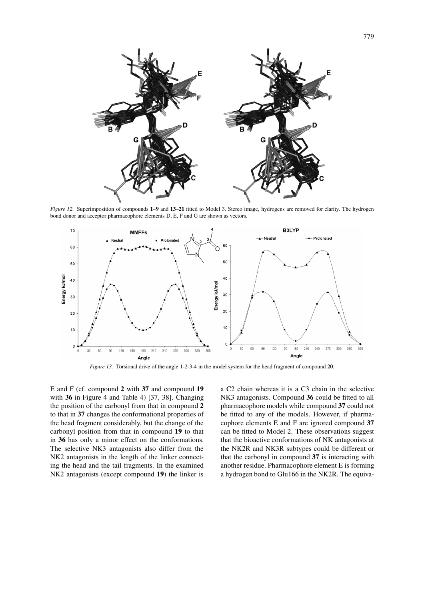

*Figure 12.* Superimposition of compounds **1**–**9** and **13**–**21** fitted to Model 3. Stereo image, hydrogens are removed for clarity. The hydrogen bond donor and acceptor pharmacophore elements D, E, F and G are shown as vectors.



*Figure 13.* Torsional drive of the angle 1-2-3-4 in the model system for the head fragment of compound **20**.

E and F (cf. compound **2** with **37** and compound **19** with **36** in Figure 4 and Table 4) [37, 38]. Changing the position of the carbonyl from that in compound **2** to that in **37** changes the conformational properties of the head fragment considerably, but the change of the carbonyl position from that in compound **19** to that in **36** has only a minor effect on the conformations. The selective NK3 antagonists also differ from the NK2 antagonists in the length of the linker connecting the head and the tail fragments. In the examined NK2 antagonists (except compound **19**) the linker is a C2 chain whereas it is a C3 chain in the selective NK3 antagonists. Compound **36** could be fitted to all pharmacophore models while compound **37** could not be fitted to any of the models. However, if pharmacophore elements E and F are ignored compound **37** can be fitted to Model 2. These observations suggest that the bioactive conformations of NK antagonists at the NK2R and NK3R subtypes could be different or that the carbonyl in compound **37** is interacting with another residue. Pharmacophore element E is forming a hydrogen bond to Glu166 in the NK2R. The equiva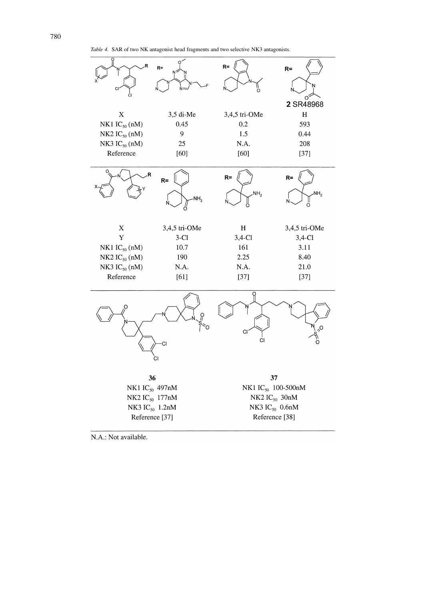*Table 4.* SAR of two NK antagonist head fragments and two selective NK3 antagonists.



N.A.: Not available.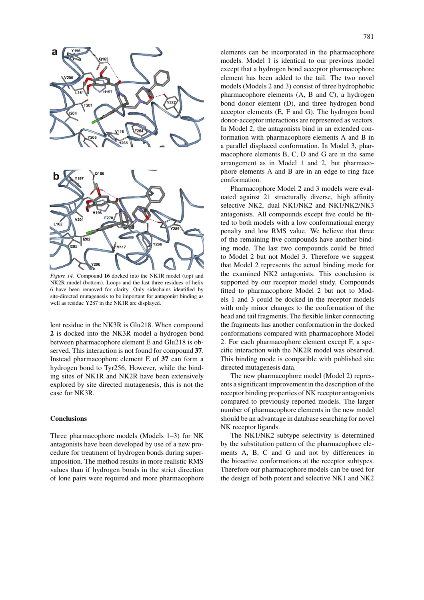

*Figure 14.* Compound **16** docked into the NK1R model (top) and NK2R model (bottom). Loops and the last three residues of helix 6 have been removed for clarity. Only sidechains identified by site-directed mutagenesis to be important for antagonist binding as well as residue Y287 in the NK1R are displayed.

lent residue in the NK3R is Glu218. When compound **2** is docked into the NK3R model a hydrogen bond between pharmacophore element E and Glu218 is observed. This interaction is not found for compound **37**. Instead pharmacophore element E of **37** can form a hydrogen bond to Tyr256. However, while the binding sites of NK1R and NK2R have been extensively explored by site directed mutagenesis, this is not the case for NK3R.

## **Conclusions**

Three pharmacophore models (Models 1–3) for NK antagonists have been developed by use of a new procedure for treatment of hydrogen bonds during superimposition. The method results in more realistic RMS values than if hydrogen bonds in the strict direction of lone pairs were required and more pharmacophore elements can be incorporated in the pharmacophore models. Model 1 is identical to our previous model except that a hydrogen bond acceptor pharmacophore element has been added to the tail. The two novel models (Models 2 and 3) consist of three hydrophobic pharmacophore elements (A, B and C), a hydrogen bond donor element (D), and three hydrogen bond acceptor elements (E, F and G). The hydrogen bond donor-acceptor interactions are represented as vectors. In Model 2, the antagonists bind in an extended conformation with pharmacophore elements A and B in a parallel displaced conformation. In Model 3, pharmacophore elements B, C, D and G are in the same arrangement as in Model 1 and 2, but pharmacophore elements A and B are in an edge to ring face conformation.

Pharmacophore Model 2 and 3 models were evaluated against 21 structurally diverse, high affinity selective NK2, dual NK1/NK2 and NK1/NK2/NK3 antagonists. All compounds except five could be fitted to both models with a low conformational energy penalty and low RMS value. We believe that three of the remaining five compounds have another binding mode. The last two compounds could be fitted to Model 2 but not Model 3. Therefore we suggest that Model 2 represents the actual binding mode for the examined NK2 antagonists. This conclusion is supported by our receptor model study. Compounds fitted to pharmacophore Model 2 but not to Models 1 and 3 could be docked in the receptor models with only minor changes to the conformation of the head and tail fragments. The flexible linker connecting the fragments has another conformation in the docked conformations compared with pharmacophore Model 2. For each pharmacophore element except F, a specific interaction with the NK2R model was observed. This binding mode is compatible with published site directed mutagenesis data.

The new pharmacophore model (Model 2) represents a significant improvement in the description of the receptor binding properties of NK receptor antagonists compared to previously reported models. The larger number of pharmacophore elements in the new model should be an advantage in database searching for novel NK receptor ligands.

The NK1/NK2 subtype selectivity is determined by the substitution pattern of the pharmacophore elements A, B, C and G and not by differences in the bioactive conformations at the receptor subtypes. Therefore our pharmacophore models can be used for the design of both potent and selective NK1 and NK2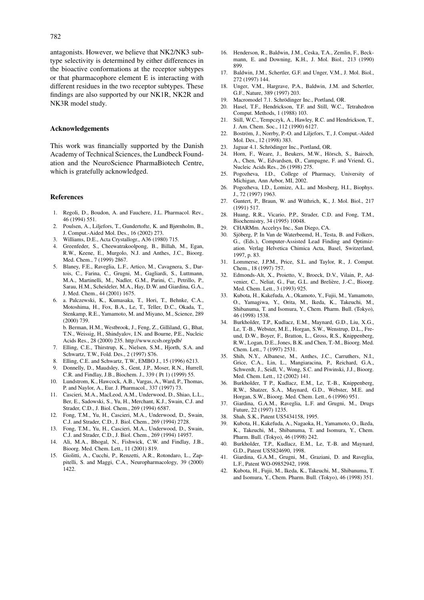antagonists. However, we believe that NK2/NK3 subtype selectivity is determined by either differences in the bioactive conformations at the receptor subtypes or that pharmacophore element E is interacting with different residues in the two receptor subtypes. These findings are also supported by our NK1R, NK2R and NK3R model study.

## **Acknowledgements**

This work was financially supported by the Danish Academy of Technical Sciences, the Lundbeck Foundation and the NeuroScience PharmaBiotech Centre, which is gratefully acknowledged.

#### **References**

- 1. Regoli, D., Boudon, A. and Fauchere, J.L. Pharmacol. Rev., 46 (1994) 551.
- 2. Poulsen, A., Liljefors, T., Gundertofte, K. and Bjørnholm, B., J. Comput.-Aided Mol. Des., 16 (2002) 273.
- 3. Williams, D.E., Acta Crystallogr., A36 (1980) 715.
- 4. Greenfeder, S., Cheewatrakoolpong, B., Billah, M., Egan, R.W., Keene, E., Murgolo, N.J. and Anthes, J.C., Bioorg. Med. Chem., 7 (1999) 2867.
- 5. Blaney, F.E., Raveglia, L.F., Artico, M., Cavagnera, S., Dartois, C., Farina, C., Grugni, M., Gagliardi, S., Luttmann, M.A., Martinelli, M., Nadler, G.M., Parini, C., Petrillo, P., Sarau, H.M., Scheideler, M.A., Hay, D.W. and Giardina, G.A., J. Med. Chem., 44 (2001) 1675.
- 6. a. Palczewski, K., Kumasaka, T., Hori, T., Behnke, C.A., Motoshima, H., Fox, B.A., Le, T., Teller, D.C., Okada, T., Stenkamp, R.E., Yamamoto, M. and Miyano, M., Science, 289 (2000) 739. b. Berman, H.M., Westbrook, J., Feng, Z., Gilliland, G., Bhat,

T.N., Weissig, H., Shindyalov, I.N. and Bourne, P.E., Nucleic Acids Res., 28 (2000) 235. http://www.rcsb.org/pdb/

- 7. Elling, C.E., Thirstrup, K., Nielsen, S.M., Hjorth, S.A. and Schwartz, T.W., Fold. Des., 2 (1997) S76.
- 8. Elling, C.E. and Schwartz, T.W., EMBO J., 15 (1996) 6213.
- 9. Donnelly, D., Maudsley, S., Gent, J.P., Moser, R.N., Hurrell, C.R. and Findlay, J.B., Biochem. J., 339 ( Pt 1) (1999) 55.
- 10. Lundstrom, K., Hawcock, A.B., Vargas, A., Ward, P., Thomas, P. and Naylor, A., Eur. J. Pharmacol., 337 (1997) 73.
- 11. Cascieri, M.A., MacLeod, A.M., Underwood, D., Shiao, L.L., Ber, E., Sadowski, S., Yu, H., Merchant, K.J., Swain, C.J. and Strader, C.D., J. Biol. Chem., 269 (1994) 6587.
- 12. Fong, T.M., Yu, H., Cascieri, M.A., Underwood, D., Swain, C.J. and Strader, C.D., J. Biol. Chem., 269 (1994) 2728.
- 13. Fong, T.M., Yu, H., Cascieri, M.A., Underwood, D., Swain, C.J. and Strader, C.D., J. Biol. Chem., 269 (1994) 14957.
- 14. Ali, M.A., Bhogal, N., Fishwick, C.W. and Findlay, J.B., Bioorg. Med. Chem. Lett., 11 (2001) 819.
- 15. Giolitti, A., Cucchi, P., Renzetti, A.R., Rotondaro, L., Zappitelli, S. and Maggi, C.A., Neuropharmacology, 39 (2000) 1422.
- 16. Henderson, R., Baldwin, J.M., Ceska, T.A., Zemlin, F., Beckmann, E. and Downing, K.H., J. Mol. Biol., 213 (1990) 899.
- 17. Baldwin, J.M., Schertler, G.F. and Unger, V.M., J. Mol. Biol., 272 (1997) 144.
- 18. Unger, V.M., Hargrave, P.A., Baldwin, J.M. and Schertler, G.F., Nature, 389 (1997) 203.
- 19. Macromodel 7.1. Schrödinger Inc., Portland, OR.
- 20. Hasel, T.F., Hendrickson, T.F. and Still, W.C., Tetrahedron Comput. Methods, 1 (1988) 103. 21. Still, W.C., Tempczyk, A., Hawley, R.C. and Hendrickson, T.,
- J. Am. Chem. Soc., 112 (1990) 6127.
- 22. Boström, J., Norrby, P.-O. and Liljefors, T., J. Comput.-Aided Mol. Des., 12 (1998) 383.
- 23. Jaguar 4.1. Schrödinger Inc., Portland, OR.
- 24. Horn, F., Weare, J., Beukers, M.W., Hörsch, S., Bairoch, A., Chen, W., Edvardsen, Ø., Campagne, F. and Vriend, G., Nucleic Acids Res., 26 (1998) 275.
- 25. Pogozheva, I.D., College of Pharmacy, University of Michigan, Ann Arbor, MI, 2002.
- 26. Pogozheva, I.D., Lomize, A.L. and Mosberg, H.I., Biophys. J., 72 (1997) 1963.
- 27. Guntert, P., Braun, W. and Wüthrich, K., J. Mol. Biol., 217 (1991) 517.
- 28. Huang, R.R., Vicario, P.P., Strader, C.D. and Fong, T.M., Biochemistry, 34 (1995) 10048.
- 29. CHARMm. Accelrys Inc., San Diego, CA.
- 30. Sjöberg, P. In Van de Waterbeemd, H., Testa, B. and Folkers, G., (Eds.), Computer-Assisted Lead Finding and Optimization. Verlag Helvetica Chimica Acta, Basel, Switzerland, 1997, p. 83.
- 31. Lommerse, J.P.M., Price, S.L. and Taylor, R., J. Comput. Chem., 18 (1997) 757.
- 32. Edmonds-Alt, X., Proietto, V., Broeck, D.V., Vilain, P., Advenier, C., Neliat, G., Fur, G.L. and Brelière, J.-C., Bioorg. Med. Chem. Lett., 3 (1993) 925.
- 33. Kubota, H., Kakefuda, A., Okamoto, Y., Fujii, M., Yamamoto, O., Yamagiwa, Y., Orita, M., Ikeda, K., Takeuchi, M., Shibanuma, T. and Isomura, Y., Chem. Pharm. Bull. (Tokyo), 46 (1998) 1538.
- 34. Burkholder, T.P., Kudlacz, E.M., Maynard, G.D., Liu, X.G., Le, T.-B., Webster, M.E., Horgan, S.W., Wenstrup, D.L., Freund, D.W., Boyer, F., Bratton, L., Gross, R.S., Knippenberg, R.W., Logan, D.E., Jones, B.K. and Chen, T.-M., Bioorg. Med. Chem. Lett., 7 (1997) 2531.
- 35. Shih, N.Y., Albanese, M., Anthes, J.C., Carruthers, N.I., Grice, C.A., Lin, L., Mangiaracina, P., Reichard, G.A., Schwerdt, J., Seidl, V., Wong, S.C. and Piwinski, J.J., Bioorg. Med. Chem. Lett., 12 (2002) 141.
- 36. Burkholder, T P., Kudlacz, E.M., Le, T.-B., Knippenberg, R.W., Shatzer, S.A., Maynard, G.D., Webster, M.E. and Horgan, S.W., Bioorg. Med. Chem. Lett., 6 (1996) 951.
- 37. Giardina, G.A.M., Raveglia, L.F. and Grugni, M., Drugs Future, 22 (1997) 1235.
- 38. Shah, S.K., Patent US5434158, 1995.
- 39. Kubota, H., Kakefuda, A., Nagaoka, H., Yamamoto, O., Ikeda, K., Takeuchi, M., Shibanuma, T. and Isomura, Y., Chem. Pharm. Bull. (Tokyo), 46 (1998) 242.
- 40. Burkholder, T.P., Kudlacz, E.M., Le, T.-B. and Maynard, G.D., Patent US5824690, 1998.
- 41. Giardina, G.A.M., Grugni, M., Graziani, D. and Raveglia, L.F., Patent WO-09852942, 1998.
- 42. Kubota, H., Fujii, M., Ikeda, K., Takeuchi, M., Shibanuma, T. and Isomura, Y., Chem. Pharm. Bull. (Tokyo), 46 (1998) 351.